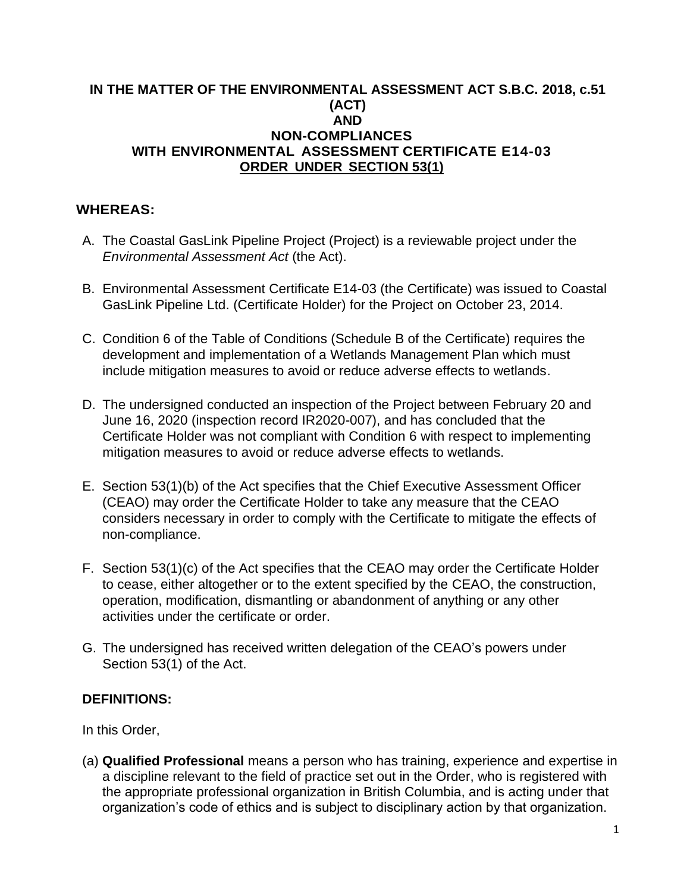## **IN THE MATTER OF THE ENVIRONMENTAL ASSESSMENT ACT S.B.C. 2018, c.51 (ACT) AND NON-COMPLIANCES WITH ENVIRONMENTAL ASSESSMENT CERTIFICATE E14-03 ORDER UNDER SECTION 53(1)**

## **WHEREAS:**

- A. The Coastal GasLink Pipeline Project (Project) is a reviewable project under the *Environmental Assessment Act* (the Act).
- B. Environmental Assessment Certificate E14-03 (the Certificate) was issued to Coastal GasLink Pipeline Ltd. (Certificate Holder) for the Project on October 23, 2014.
- C. Condition 6 of the Table of Conditions (Schedule B of the Certificate) requires the development and implementation of a Wetlands Management Plan which must include mitigation measures to avoid or reduce adverse effects to wetlands.
- D. The undersigned conducted an inspection of the Project between February 20 and June 16, 2020 (inspection record IR2020-007), and has concluded that the Certificate Holder was not compliant with Condition 6 with respect to implementing mitigation measures to avoid or reduce adverse effects to wetlands.
- E. Section 53(1)(b) of the Act specifies that the Chief Executive Assessment Officer (CEAO) may order the Certificate Holder to take any measure that the CEAO considers necessary in order to comply with the Certificate to mitigate the effects of non-compliance.
- F. Section 53(1)(c) of the Act specifies that the CEAO may order the Certificate Holder to cease, either altogether or to the extent specified by the CEAO, the construction, operation, modification, dismantling or abandonment of anything or any other activities under the certificate or order.
- G. The undersigned has received written delegation of the CEAO's powers under Section 53(1) of the Act.

## **DEFINITIONS:**

In this Order,

(a) **Qualified Professional** means a person who has training, experience and expertise in a discipline relevant to the field of practice set out in the Order, who is registered with the appropriate professional organization in British Columbia, and is acting under that organization's code of ethics and is subject to disciplinary action by that organization.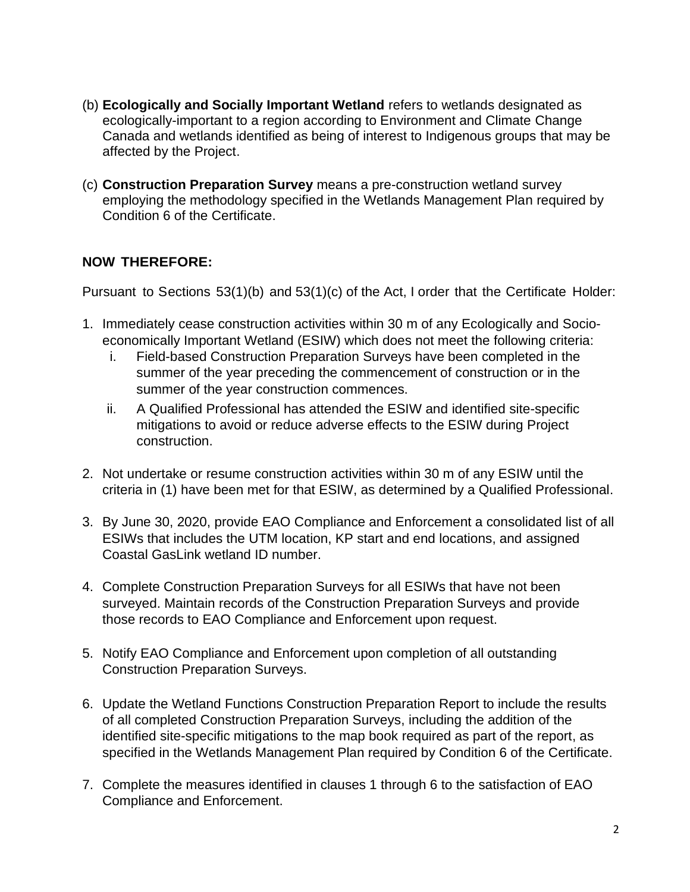- (b) **Ecologically and Socially Important Wetland** refers to wetlands designated as ecologically-important to a region according to Environment and Climate Change Canada and wetlands identified as being of interest to Indigenous groups that may be affected by the Project.
- (c) **Construction Preparation Survey** means a pre-construction wetland survey employing the methodology specified in the Wetlands Management Plan required by Condition 6 of the Certificate.

## **NOW THEREFORE:**

Pursuant to Sections 53(1)(b) and 53(1)(c) of the Act, I order that the Certificate Holder:

- 1. Immediately cease construction activities within 30 m of any Ecologically and Socioeconomically Important Wetland (ESIW) which does not meet the following criteria:
	- i. Field-based Construction Preparation Surveys have been completed in the summer of the year preceding the commencement of construction or in the summer of the year construction commences.
	- ii. A Qualified Professional has attended the ESIW and identified site-specific mitigations to avoid or reduce adverse effects to the ESIW during Project construction.
- 2. Not undertake or resume construction activities within 30 m of any ESIW until the criteria in (1) have been met for that ESIW, as determined by a Qualified Professional.
- 3. By June 30, 2020, provide EAO Compliance and Enforcement a consolidated list of all ESIWs that includes the UTM location, KP start and end locations, and assigned Coastal GasLink wetland ID number.
- 4. Complete Construction Preparation Surveys for all ESIWs that have not been surveyed. Maintain records of the Construction Preparation Surveys and provide those records to EAO Compliance and Enforcement upon request.
- 5. Notify EAO Compliance and Enforcement upon completion of all outstanding Construction Preparation Surveys.
- 6. Update the Wetland Functions Construction Preparation Report to include the results of all completed Construction Preparation Surveys, including the addition of the identified site-specific mitigations to the map book required as part of the report, as specified in the Wetlands Management Plan required by Condition 6 of the Certificate.
- 7. Complete the measures identified in clauses 1 through 6 to the satisfaction of EAO Compliance and Enforcement.